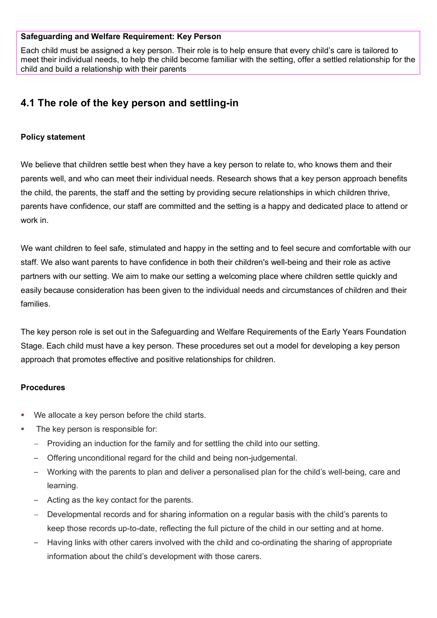#### **Safeguarding and Welfare Requirement: Key Person**

Each child must be assigned a key person. Their role is to help ensure that every child's care is tailored to meet their individual needs, to help the child become familiar with the setting, offer a settled relationship for the child and build a relationship with their parents

# **4.1 The role of the key person and settling-in**

#### **Policy statement**

We believe that children settle best when they have a key person to relate to, who knows them and their parents well, and who can meet their individual needs. Research shows that a key person approach benefits the child, the parents, the staff and the setting by providing secure relationships in which children thrive, parents have confidence, our staff are committed and the setting is a happy and dedicated place to attend or work in.

We want children to feel safe, stimulated and happy in the setting and to feel secure and comfortable with our staff. We also want parents to have confidence in both their children's well-being and their role as active partners with our setting. We aim to make our setting a welcoming place where children settle quickly and easily because consideration has been given to the individual needs and circumstances of children and their families.

The key person role is set out in the Safeguarding and Welfare Requirements of the Early Years Foundation Stage. Each child must have a key person. These procedures set out a model for developing a key person approach that promotes effective and positive relationships for children.

#### **Procedures**

- We allocate a key person before the child starts.
- The key person is responsible for:
	- Providing an induction for the family and for settling the child into our setting.
	- ‒ Offering unconditional regard for the child and being non-judgemental.
	- ‒ Working with the parents to plan and deliver a personalised plan for the child's well-being, care and learning.
	- ‒ Acting as the key contact for the parents.
	- − Developmental records and for sharing information on a regular basis with the child's parents to keep those records up-to-date, reflecting the full picture of the child in our setting and at home.
	- ‒ Having links with other carers involved with the child and co-ordinating the sharing of appropriate information about the child's development with those carers.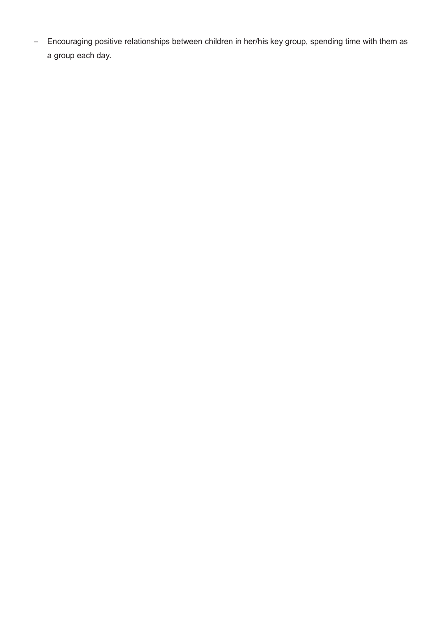- Encouraging positive relationships between children in her/his key group, spending time with them as a group each day.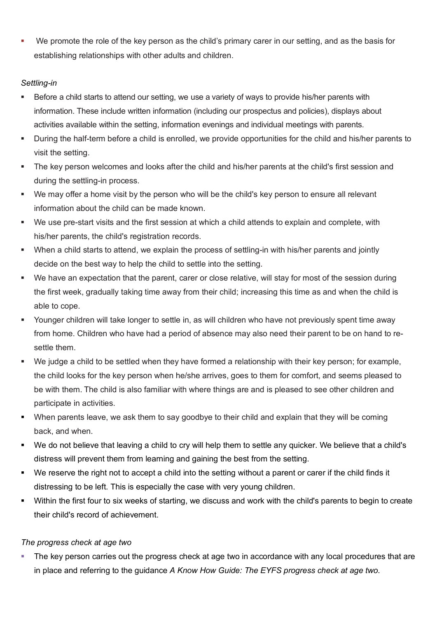We promote the role of the key person as the child's primary carer in our setting, and as the basis for establishing relationships with other adults and children.

## *Settling-in*

- Before a child starts to attend our setting, we use a variety of ways to provide his/her parents with information. These include written information (including our prospectus and policies), displays about activities available within the setting, information evenings and individual meetings with parents.
- During the half-term before a child is enrolled, we provide opportunities for the child and his/her parents to visit the setting.
- The key person welcomes and looks after the child and his/her parents at the child's first session and during the settling-in process.
- We may offer a home visit by the person who will be the child's key person to ensure all relevant information about the child can be made known.
- We use pre-start visits and the first session at which a child attends to explain and complete, with his/her parents, the child's registration records.
- When a child starts to attend, we explain the process of settling-in with his/her parents and jointly decide on the best way to help the child to settle into the setting.
- We have an expectation that the parent, carer or close relative, will stay for most of the session during the first week, gradually taking time away from their child; increasing this time as and when the child is able to cope.
- Younger children will take longer to settle in, as will children who have not previously spent time away from home. Children who have had a period of absence may also need their parent to be on hand to resettle them.
- We judge a child to be settled when they have formed a relationship with their key person; for example, the child looks for the key person when he/she arrives, goes to them for comfort, and seems pleased to be with them. The child is also familiar with where things are and is pleased to see other children and participate in activities.
- When parents leave, we ask them to say goodbye to their child and explain that they will be coming back, and when.
- We do not believe that leaving a child to cry will help them to settle any quicker. We believe that a child's distress will prevent them from learning and gaining the best from the setting.
- We reserve the right not to accept a child into the setting without a parent or carer if the child finds it distressing to be left. This is especially the case with very young children.
- Within the first four to six weeks of starting, we discuss and work with the child's parents to begin to create their child's record of achievement.

## *The progress check at age two*

 The key person carries out the progress check at age two in accordance with any local procedures that are in place and referring to the guidance *A Know How Guide: The EYFS progress check at age two*.